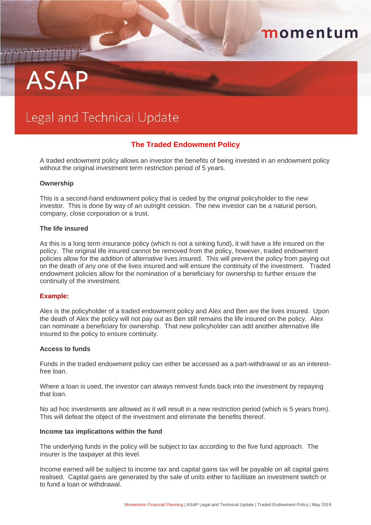# **ASAP**

## Legal and Technical Update

### **The Traded Endowment Policy**

momentum

A traded endowment policy allows an investor the benefits of being invested in an endowment policy without the original investment term restriction period of 5 years.

#### **Ownership**

This is a second-hand endowment policy that is ceded by the original policyholder to the new investor. This is done by way of an outright cession. The new investor can be a natural person, company, close corporation or a trust.

#### **The life insured**

As this is a long term insurance policy (which is not a sinking fund), it will have a life insured on the policy. The original life insured cannot be removed from the policy, however, traded endowment policies allow for the addition of alternative lives insured. This will prevent the policy from paying out on the death of any one of the lives insured and will ensure the continuity of the investment. Traded endowment policies allow for the nomination of a beneficiary for ownership to further ensure the continuity of the investment.

#### **Example:**

Alex is the policyholder of a traded endowment policy and Alex and Ben are the lives insured. Upon the death of Alex the policy will not pay out as Ben still remains the life insured on the policy. Alex can nominate a beneficiary for ownership. That new policyholder can add another alternative life insured to the policy to ensure continuity.

#### **Access to funds**

Funds in the traded endowment policy can either be accessed as a part-withdrawal or as an interestfree loan.

Where a loan is used, the investor can always reinvest funds back into the investment by repaying that loan.

No ad hoc investments are allowed as it will result in a new restriction period (which is 5 years from). This will defeat the object of the investment and eliminate the benefits thereof.

#### **Income tax implications within the fund**

The underlying funds in the policy will be subject to tax according to the five fund approach. The insurer is the taxpayer at this level.

Income earned will be subject to income tax and capital gains tax will be payable on all capital gains realised. Capital gains are generated by the sale of units either to facilitate an investment switch or to fund a loan or withdrawal.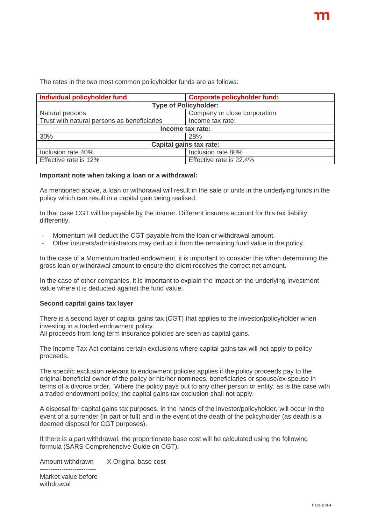The rates in the two most common policyholder funds are as follows:

| Individual policyholder fund                | <b>Corporate policyholder fund:</b> |  |  |
|---------------------------------------------|-------------------------------------|--|--|
| <b>Type of Policyholder:</b>                |                                     |  |  |
| Natural persons                             | Company or close corporation        |  |  |
| Trust with natural persons as beneficiaries | Income tax rate:                    |  |  |
| Income tax rate:                            |                                     |  |  |
| 30%                                         | 28%                                 |  |  |
| Capital gains tax rate:                     |                                     |  |  |
| Inclusion rate 40%                          | Inclusion rate 80%                  |  |  |
| Effective rate is 12%                       | Effective rate is 22.4%             |  |  |

#### **Important note when taking a loan or a withdrawal:**

As mentioned above, a loan or withdrawal will result in the sale of units in the underlying funds in the policy which can result in a capital gain being realised.

In that case CGT will be payable by the insurer. Different insurers account for this tax liability differently.

- Momentum will deduct the CGT payable from the loan or withdrawal amount.
- Other insurers/administrators may deduct it from the remaining fund value in the policy.

In the case of a Momentum traded endowment, it is important to consider this when determining the gross loan or withdrawal amount to ensure the client receives the correct net amount.

In the case of other companies, it is important to explain the impact on the underlying investment value where it is deducted against the fund value.

#### **Second capital gains tax layer**

There is a second layer of capital gains tax (CGT) that applies to the investor/policyholder when investing in a traded endowment policy.

All proceeds from long term insurance policies are seen as capital gains.

The Income Tax Act contains certain exclusions where capital gains tax will not apply to policy proceeds.

The specific exclusion relevant to endowment policies applies if the policy proceeds pay to the original beneficial owner of the policy or his/her nominees, beneficiaries or spouse/ex-spouse in terms of a divorce order. Where the policy pays out to any other person or entity, as is the case with a traded endowment policy, the capital gains tax exclusion shall not apply.

A disposal for capital gains tax purposes, in the hands of the investor/policyholder, will occur in the event of a surrender (in part or full) and in the event of the death of the policyholder (as death is a deemed disposal for CGT purposes).

If there is a part withdrawal, the proportionate base cost will be calculated using the following formula (SARS Comprehensive Guide on CGT):

Amount withdrawn X Original base cost

-------------------------- Market value before withdrawal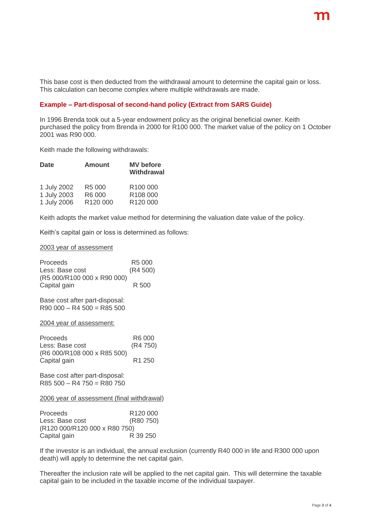This base cost is then deducted from the withdrawal amount to determine the capital gain or loss. This calculation can become complex where multiple withdrawals are made.

#### **Example – Part-disposal of second-hand policy (Extract from SARS Guide)**

In 1996 Brenda took out a 5-year endowment policy as the original beneficial owner. Keith purchased the policy from Brenda in 2000 for R100 000. The market value of the policy on 1 October 2001 was R90 000.

Keith made the following withdrawals:

| <b>Date</b> | <b>Amount</b>      | <b>MV</b> before<br><b>Withdrawal</b> |
|-------------|--------------------|---------------------------------------|
| 1 July 2002 | R <sub>5</sub> 000 | R <sub>100</sub> 000                  |
| 1 July 2003 | R6 000             | R <sub>108</sub> 000                  |
| 1 July 2006 | R120 000           | R120 000                              |

Keith adopts the market value method for determining the valuation date value of the policy.

Keith's capital gain or loss is determined as follows:

#### 2003 year of assessment

| <b>Proceeds</b>             | R <sub>5</sub> 000 |
|-----------------------------|--------------------|
| Less: Base cost             | (R4 500)           |
| (R5 000/R100 000 x R90 000) |                    |
| Capital gain                | R 500              |

Base cost after part-disposal:  $R90\,000 - R4\,500 = R85\,500$ 

2004 year of assessment:

| Proceeds                    | R6 000             |
|-----------------------------|--------------------|
| Less: Base cost             | (R4 750)           |
| (R6 000/R108 000 x R85 500) |                    |
| Capital gain                | R <sub>1</sub> 250 |

Base cost after part-disposal:  $R85 500 - R4 750 = R80 750$ 

2006 year of assessment (final withdrawal)

| <b>Proceeds</b>               | R <sub>120</sub> 000 |  |
|-------------------------------|----------------------|--|
| Less: Base cost               | (R80 750)            |  |
| (R120 000/R120 000 x R80 750) |                      |  |
| Capital gain                  | R 39 250             |  |

If the investor is an individual, the annual exclusion (currently R40 000 in life and R300 000 upon death) will apply to determine the net capital gain.

Thereafter the inclusion rate will be applied to the net capital gain. This will determine the taxable capital gain to be included in the taxable income of the individual taxpayer.